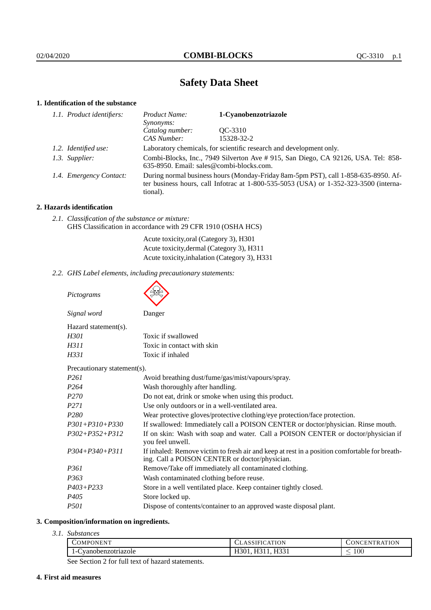# **Safety Data Sheet**

## **1. Identification of the substance**

| 1.1. Product identifiers: | Product Name:<br>Synonyms:                                                                                                                                                                  | 1-Cyanobenzotriazole |
|---------------------------|---------------------------------------------------------------------------------------------------------------------------------------------------------------------------------------------|----------------------|
|                           | Catalog number:                                                                                                                                                                             | OC-3310              |
|                           | CAS Number:                                                                                                                                                                                 | 15328-32-2           |
| 1.2. Identified use:      | Laboratory chemicals, for scientific research and development only.                                                                                                                         |                      |
| 1.3. Supplier:            | Combi-Blocks, Inc., 7949 Silverton Ave # 915, San Diego, CA 92126, USA. Tel: 858-<br>635-8950. Email: sales@combi-blocks.com.                                                               |                      |
| 1.4. Emergency Contact:   | During normal business hours (Monday-Friday 8am-5pm PST), call 1-858-635-8950. Af-<br>ter business hours, call Infotrac at $1-800-535-5053$ (USA) or $1-352-323-3500$ (interna-<br>tional). |                      |

## **2. Hazards identification**

| 2.1. Classification of the substance or mixture:<br>GHS Classification in accordance with 29 CFR 1910 (OSHA HCS) |                                                                                                                  |  |
|------------------------------------------------------------------------------------------------------------------|------------------------------------------------------------------------------------------------------------------|--|
|                                                                                                                  | Acute toxicity, oral (Category 3), H301<br>$\mathbf{A}$ . The state of $\mathbf{A}$ is the state of $\mathbf{A}$ |  |

Acute toxicity,dermal (Category 3), H311 Acute toxicity,inhalation (Category 3), H331

*2.2. GHS Label elements, including precautionary statements:*

| Pictograms                  |                                                                                                                                                 |
|-----------------------------|-------------------------------------------------------------------------------------------------------------------------------------------------|
| Signal word                 | Danger                                                                                                                                          |
| Hazard statement(s).        |                                                                                                                                                 |
| H301                        | Toxic if swallowed                                                                                                                              |
| H311                        | Toxic in contact with skin                                                                                                                      |
| H331                        | Toxic if inhaled                                                                                                                                |
| Precautionary statement(s). |                                                                                                                                                 |
| P <sub>261</sub>            | Avoid breathing dust/fume/gas/mist/vapours/spray.                                                                                               |
| P <sub>264</sub>            | Wash thoroughly after handling.                                                                                                                 |
| P <sub>270</sub>            | Do not eat, drink or smoke when using this product.                                                                                             |
| P <sub>271</sub>            | Use only outdoors or in a well-ventilated area.                                                                                                 |
| P <sub>280</sub>            | Wear protective gloves/protective clothing/eye protection/face protection.                                                                      |
| $P301 + P310 + P330$        | If swallowed: Immediately call a POISON CENTER or doctor/physician. Rinse mouth.                                                                |
| $P302 + P352 + P312$        | If on skin: Wash with soap and water. Call a POISON CENTER or doctor/physician if<br>you feel unwell.                                           |
| $P304 + P340 + P311$        | If inhaled: Remove victim to fresh air and keep at rest in a position comfortable for breath-<br>ing. Call a POISON CENTER or doctor/physician. |
| P <sub>361</sub>            | Remove/Take off immediately all contaminated clothing.                                                                                          |
| P <sub>363</sub>            | Wash contaminated clothing before reuse.                                                                                                        |
| $P403 + P233$               | Store in a well ventilated place. Keep container tightly closed.                                                                                |
| P <sub>405</sub>            | Store locked up.                                                                                                                                |
| <i>P501</i>                 | Dispose of contents/container to an approved waste disposal plant.                                                                              |

# **3. Composition/information on ingredients.**

*3.1. Substances*

| COMPONENT              | TION<br>_д.<br>СЕАЗЗІГ                                          | <b>RATION</b><br>'N                 |
|------------------------|-----------------------------------------------------------------|-------------------------------------|
| vanobenzotriazole<br>- | $- - -$<br>$- - - -$<br><br>11JJ 1<br>. .<br>$\cdot$<br><br>. . | $100\,$<br>$\overline{\phantom{a}}$ |

See Section 2 for full text of hazard statements.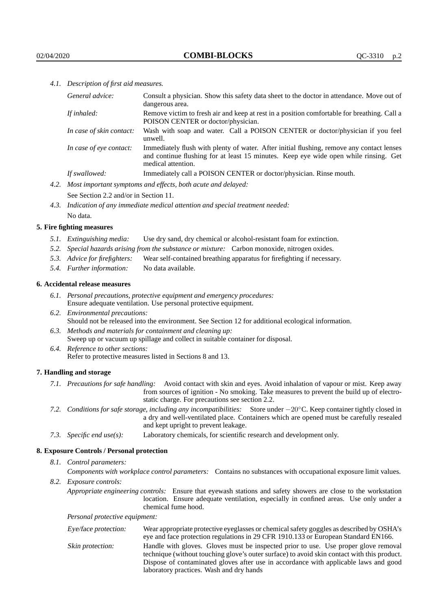*4.1. Description of first aid measures.*

| General advice:          | Consult a physician. Show this safety data sheet to the doctor in attendance. Move out of<br>dangerous area.                                                                                            |
|--------------------------|---------------------------------------------------------------------------------------------------------------------------------------------------------------------------------------------------------|
| If inhaled:              | Remove victim to fresh air and keep at rest in a position comfortable for breathing. Call a<br>POISON CENTER or doctor/physician.                                                                       |
| In case of skin contact: | Wash with soap and water. Call a POISON CENTER or doctor/physician if you feel<br>unwell.                                                                                                               |
| In case of eye contact:  | Immediately flush with plenty of water. After initial flushing, remove any contact lenses<br>and continue flushing for at least 15 minutes. Keep eye wide open while rinsing. Get<br>medical attention. |
| If swallowed:            | Immediately call a POISON CENTER or doctor/physician. Rinse mouth.                                                                                                                                      |
|                          |                                                                                                                                                                                                         |

*4.2. Most important symptoms and effects, both acute and delayed:* See Section 2.2 and/or in Section 11.

*4.3. Indication of any immediate medical attention and special treatment needed:*

No data.

## **5. Fire fighting measures**

- *5.1. Extinguishing media:* Use dry sand, dry chemical or alcohol-resistant foam for extinction.
- *5.2. Special hazards arising from the substance or mixture:* Carbon monoxide, nitrogen oxides.
- *5.3. Advice for firefighters:* Wear self-contained breathing apparatus for firefighting if necessary.
- *5.4. Further information:* No data available.

### **6. Accidental release measures**

- *6.1. Personal precautions, protective equipment and emergency procedures:* Ensure adequate ventilation. Use personal protective equipment.
- *6.2. Environmental precautions:* Should not be released into the environment. See Section 12 for additional ecological information.
- *6.3. Methods and materials for containment and cleaning up:* Sweep up or vacuum up spillage and collect in suitable container for disposal.
- *6.4. Reference to other sections:* Refer to protective measures listed in Sections 8 and 13.

## **7. Handling and storage**

- *7.1. Precautions for safe handling:* Avoid contact with skin and eyes. Avoid inhalation of vapour or mist. Keep away from sources of ignition - No smoking. Take measures to prevent the build up of electrostatic charge. For precautions see section 2.2.
- *7.2. Conditions for safe storage, including any incompatibilities:* Store under −20◦C. Keep container tightly closed in a dry and well-ventilated place. Containers which are opened must be carefully resealed and kept upright to prevent leakage.
- *7.3. Specific end use(s):* Laboratory chemicals, for scientific research and development only.

## **8. Exposure Controls / Personal protection**

*8.1. Control parameters:*

*Components with workplace control parameters:* Contains no substances with occupational exposure limit values. *8.2. Exposure controls:*

*Appropriate engineering controls:* Ensure that eyewash stations and safety showers are close to the workstation location. Ensure adequate ventilation, especially in confined areas. Use only under a chemical fume hood.

*Personal protective equipment:*

| Eye/face protection: | Wear appropriate protective eyeglasses or chemical safety goggles as described by OSHA's<br>eye and face protection regulations in 29 CFR 1910.133 or European Standard EN166.                                                                                                                                         |
|----------------------|------------------------------------------------------------------------------------------------------------------------------------------------------------------------------------------------------------------------------------------------------------------------------------------------------------------------|
| Skin protection:     | Handle with gloves. Gloves must be inspected prior to use. Use proper glove removal<br>technique (without touching glove's outer surface) to avoid skin contact with this product.<br>Dispose of contaminated gloves after use in accordance with applicable laws and good<br>laboratory practices. Wash and dry hands |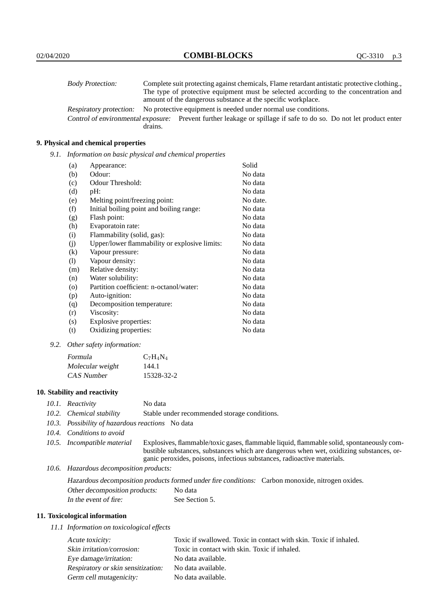| <b>Body Protection:</b>            |                                                                                      | Complete suit protecting against chemicals, Flame retardant antistatic protective clothing. |
|------------------------------------|--------------------------------------------------------------------------------------|---------------------------------------------------------------------------------------------|
|                                    | The type of protective equipment must be selected according to the concentration and |                                                                                             |
|                                    | amount of the dangerous substance at the specific workplace.                         |                                                                                             |
| Respiratory protection:            |                                                                                      | No protective equipment is needed under normal use conditions.                              |
| Control of environmental exposure: |                                                                                      | Prevent further leakage or spillage if safe to do so. Do not let product enter              |
|                                    | drains.                                                                              |                                                                                             |

## **9. Physical and chemical properties**

*9.1. Information on basic physical and chemical properties*

| (a)      | Appearance:                                   | Solid    |
|----------|-----------------------------------------------|----------|
| (b)      | Odour:                                        | No data  |
| (c)      | Odour Threshold:                              | No data  |
| (d)      | pH:                                           | No data  |
| (e)      | Melting point/freezing point:                 | No date. |
| (f)      | Initial boiling point and boiling range:      | No data  |
| (g)      | Flash point:                                  | No data  |
| (h)      | Evaporatoin rate:                             | No data  |
| (i)      | Flammability (solid, gas):                    | No data  |
| (j)      | Upper/lower flammability or explosive limits: | No data  |
| $\rm(k)$ | Vapour pressure:                              | No data  |
| (1)      | Vapour density:                               | No data  |
| (m)      | Relative density:                             | No data  |
| (n)      | Water solubility:                             | No data  |
| $\circ$  | Partition coefficient: n-octanol/water:       | No data  |
| (p)      | Auto-ignition:                                | No data  |
| (q)      | Decomposition temperature:                    | No data  |
| (r)      | Viscosity:                                    | No data  |
| (s)      | Explosive properties:                         | No data  |
| (t)      | Oxidizing properties:                         | No data  |

#### *9.2. Other safety information:*

| Formula          | $C_7H_4N_4$ |
|------------------|-------------|
| Molecular weight | 144.1       |
| CAS Number       | 15328-32-2  |

## **10. Stability and reactivity**

- *10.1. Reactivity* No data
- *10.2. Chemical stability* Stable under recommended storage conditions.
- *10.3. Possibility of hazardous reactions* No data
- *10.4. Conditions to avoid*
- 

*10.5. Incompatible material* Explosives, flammable/toxic gases, flammable liquid, flammable solid, spontaneously combustible substances, substances which are dangerous when wet, oxidizing substances, organic peroxides, poisons, infectious substances, radioactive materials.

*10.6. Hazardous decomposition products:*

Hazardous decomposition products formed under fire conditions: Carbon monoxide, nitrogen oxides. Other decomposition products: No data In the event of fire: See Section 5.

#### **11. Toxicological information**

*11.1 Information on toxicological effects*

| Acute toxicity:                    | Toxic if swallowed. Toxic in contact with skin. Toxic if inhaled. |
|------------------------------------|-------------------------------------------------------------------|
| Skin irritation/corrosion:         | Toxic in contact with skin. Toxic if inhaled.                     |
| Eye damage/irritation:             | No data available.                                                |
| Respiratory or skin sensitization: | No data available.                                                |
| Germ cell mutagenicity:            | No data available.                                                |